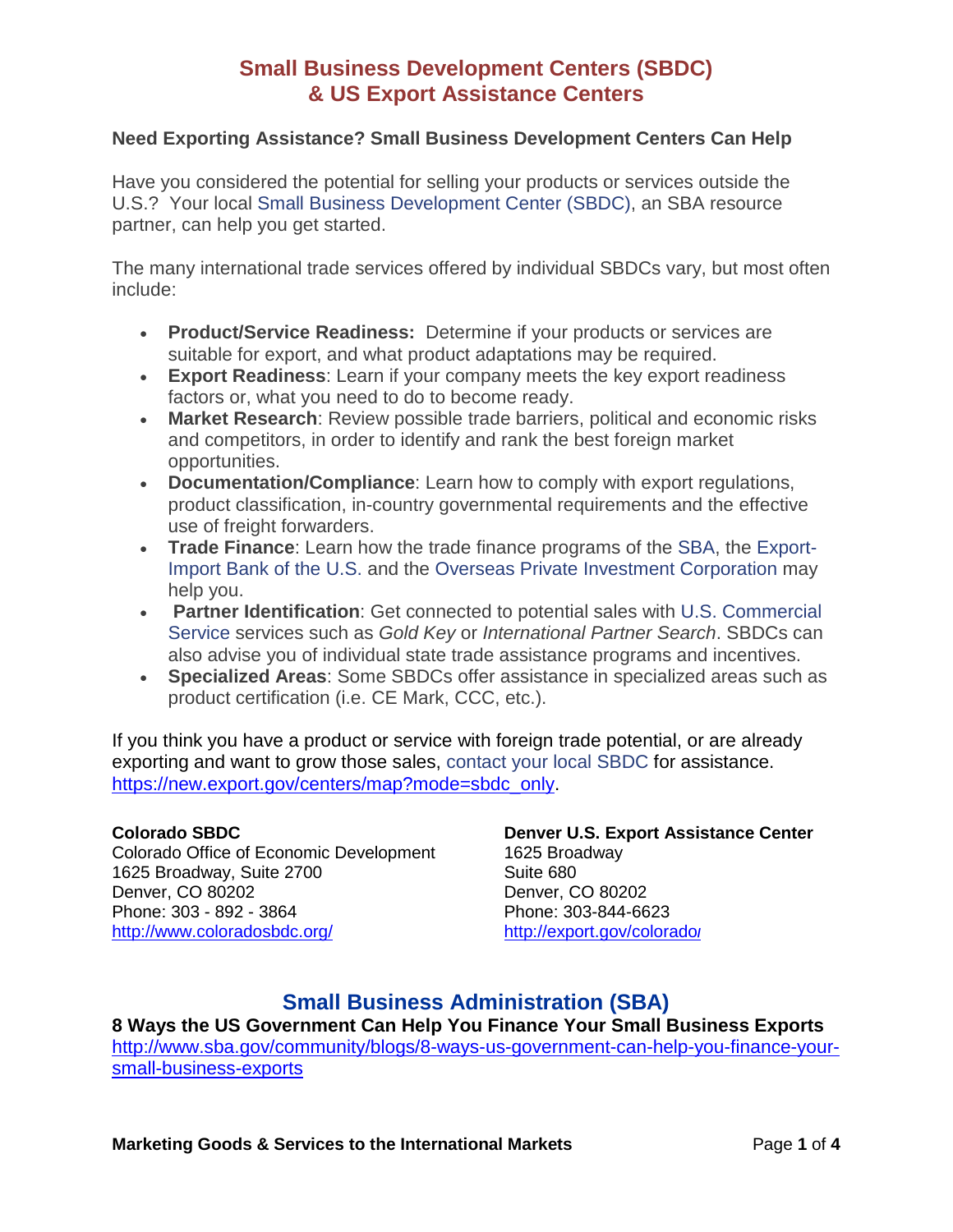## **Small Business Development Centers (SBDC) & US Export Assistance Centers**

#### **Need Exporting Assistance? Small Business Development Centers Can Help**

Have you considered the potential for selling your products or services outside the U.S.? Your local [Small Business Development Center \(SBDC\),](http://www.sba.gov/content/small-business-development-centers-sbdcs) an SBA resource partner, can help you get started.

The many international trade services offered by individual SBDCs vary, but most often include:

- **Product/Service Readiness:** Determine if your products or services are suitable for export, and what product adaptations may be required.
- **Export Readiness**: Learn if your company meets the key export readiness factors or, what you need to do to become ready.
- **Market Research**: Review possible trade barriers, political and economic risks and competitors, in order to identify and rank the best foreign market opportunities.
- **Documentation/Compliance**: Learn how to comply with export regulations, product classification, in-country governmental requirements and the effective use of freight forwarders.
- **Trade Finance**: Learn how the trade finance programs of the [SBA,](http://www.sba.gov/content/financing-your-small-business-exports-foreign-investments-or-projects) the [Export-](http://www.exim.gov/)[Import Bank of the U.S.](http://www.exim.gov/) and the [Overseas Private Investment Corporation](http://www.opic.gov/) may help you.
- **Partner Identification**: Get connected to potential sales with [U.S. Commercial](http://www.trade.gov/cs/)  [Service](http://www.trade.gov/cs/) services such as *Gold Key* or *International Partner Search*. SBDCs can also advise you of individual state trade assistance programs and incentives.
- **Specialized Areas**: Some SBDCs offer assistance in specialized areas such as product certification (i.e. CE Mark, CCC, etc.).

If you think you have a product or service with foreign trade potential, or are already exporting and want to grow those sales, [contact your local SBDC](https://new.export.gov/centers/map?mode=sbdc_only.) for assistance. [https://new.export.gov/centers/map?mode=sbdc\\_only.](https://new.export.gov/centers/map?mode=sbdc_only)

#### **Colorado SBDC**

Colorado Office of Economic Development 1625 Broadway, Suite 2700 Denver, CO 80202 Phone: 303 - 892 - 3864 <http://www.coloradosbdc.org/>

**Denver U.S. Export Assistance Center** 1625 Broadway Suite 680 Denver, CO 80202 Phone: 303-844-6623 [http://export.gov/colorado](http://export.gov/colorado/)**/**

### **Small Business Administration (SBA)**

**8 Ways the US Government Can Help You Finance Your Small Business Exports** [http://www.sba.gov/community/blogs/8-ways-us-government-can-help-you-finance-your](http://www.sba.gov/community/blogs/8-ways-us-government-can-help-you-finance-your-small-business-exports)[small-business-exports](http://www.sba.gov/community/blogs/8-ways-us-government-can-help-you-finance-your-small-business-exports)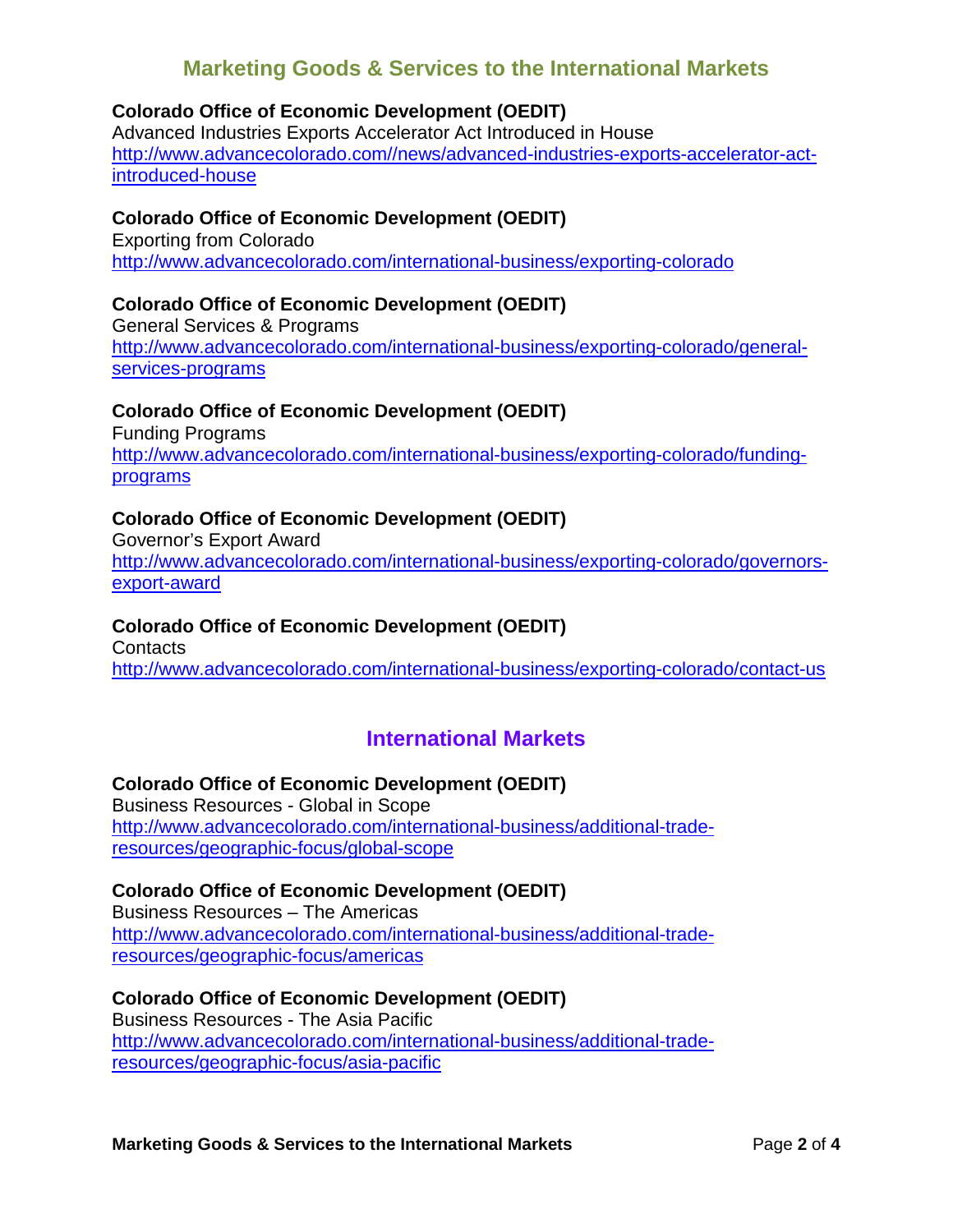## **Marketing Goods & Services to the International Markets**

### **Colorado Office of Economic Development (OEDIT)**

Advanced Industries Exports Accelerator Act Introduced in House [http://www.advancecolorado.com//news/advanced-industries-exports-accelerator-act](http://www.advancecolorado.com/news/advanced-industries-exports-accelerator-act-introduced-house)[introduced-house](http://www.advancecolorado.com/news/advanced-industries-exports-accelerator-act-introduced-house)

#### **Colorado Office of Economic Development (OEDIT)**

Exporting from Colorado <http://www.advancecolorado.com/international-business/exporting-colorado>

#### **Colorado Office of Economic Development (OEDIT)**

General Services & Programs [http://www.advancecolorado.com/international-business/exporting-colorado/general](http://www.advancecolorado.com/international-business/exporting-colorado/general-services-programs)[services-programs](http://www.advancecolorado.com/international-business/exporting-colorado/general-services-programs)

### **Colorado Office of Economic Development (OEDIT)**

Funding Programs [http://www.advancecolorado.com/international-business/exporting-colorado/funding](http://www.advancecolorado.com/international-business/exporting-colorado/funding-programs)[programs](http://www.advancecolorado.com/international-business/exporting-colorado/funding-programs)

#### **Colorado Office of Economic Development (OEDIT)**

Governor's Export Award [http://www.advancecolorado.com/international-business/exporting-colorado/governors](http://www.advancecolorado.com/international-business/exporting-colorado/governors-export-award)[export-award](http://www.advancecolorado.com/international-business/exporting-colorado/governors-export-award)

#### **Colorado Office of Economic Development (OEDIT)**

**Contacts** <http://www.advancecolorado.com/international-business/exporting-colorado/contact-us>

## **International Markets**

#### **Colorado Office of Economic Development (OEDIT)**

Business Resources - Global in Scope [http://www.advancecolorado.com/international-business/additional-trade](http://www.advancecolorado.com/international-business/additional-trade-resources/geographic-focus/global-scope)[resources/geographic-focus/global-scope](http://www.advancecolorado.com/international-business/additional-trade-resources/geographic-focus/global-scope)

### **Colorado Office of Economic Development (OEDIT)**

Business Resources – The Americas [http://www.advancecolorado.com/international-business/additional-trade](http://www.advancecolorado.com/international-business/additional-trade-resources/geographic-focus/americas)[resources/geographic-focus/americas](http://www.advancecolorado.com/international-business/additional-trade-resources/geographic-focus/americas)

#### **Colorado Office of Economic Development (OEDIT)**

Business Resources - The Asia Pacific [http://www.advancecolorado.com/international-business/additional-trade](http://www.advancecolorado.com/international-business/additional-trade-resources/geographic-focus/asia-pacific)[resources/geographic-focus/asia-pacific](http://www.advancecolorado.com/international-business/additional-trade-resources/geographic-focus/asia-pacific)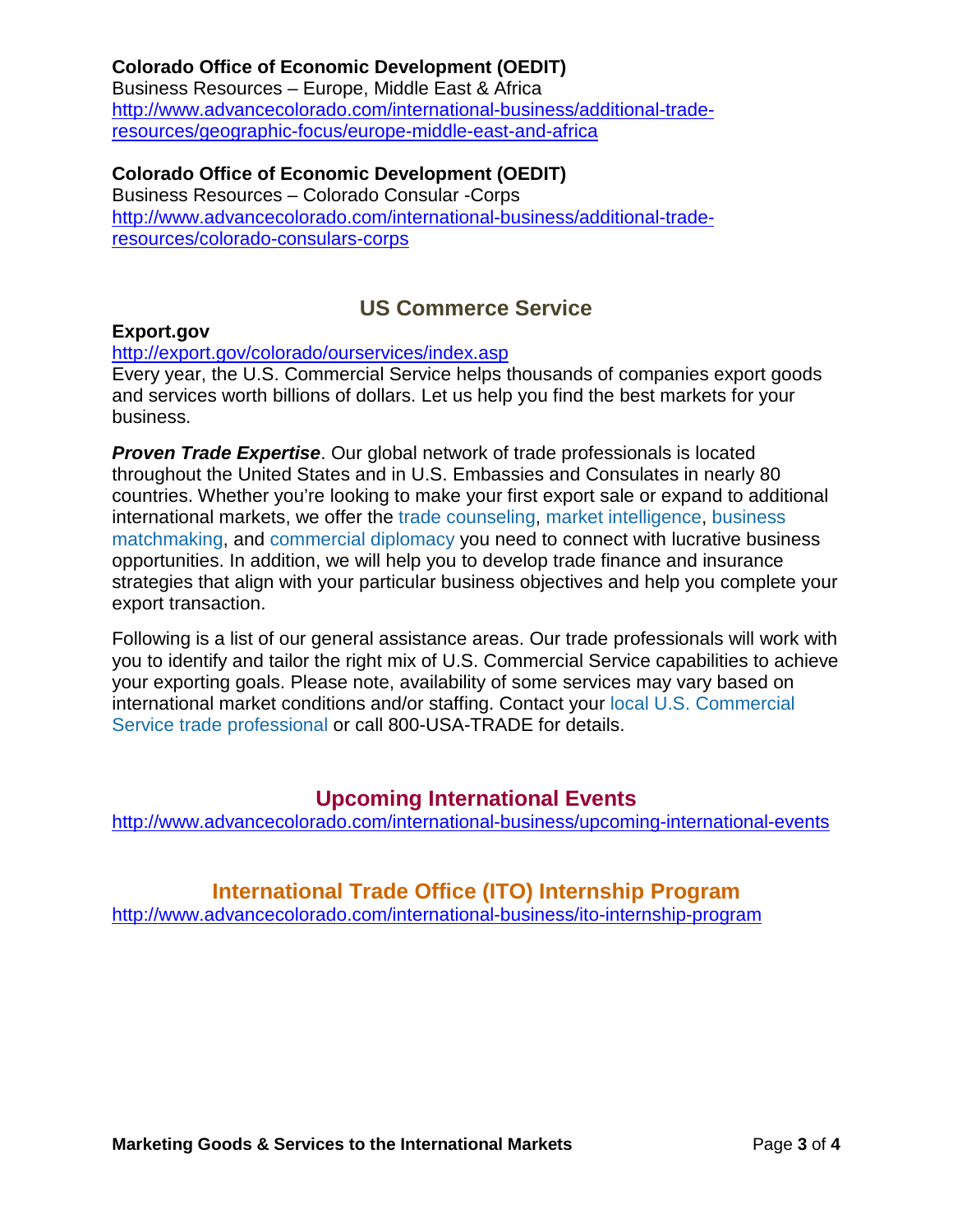#### **Colorado Office of Economic Development (OEDIT)**

Business Resources – Europe, Middle East & Africa [http://www.advancecolorado.com/international-business/additional-trade](http://www.advancecolorado.com/international-business/additional-trade-resources/geographic-focus/europe-middle-east-and-africa)[resources/geographic-focus/europe-middle-east-and-africa](http://www.advancecolorado.com/international-business/additional-trade-resources/geographic-focus/europe-middle-east-and-africa)

#### **Colorado Office of Economic Development (OEDIT)**

Business Resources – Colorado Consular -Corps [http://www.advancecolorado.com/international-business/additional-trade](http://www.advancecolorado.com/international-business/additional-trade-resources/colorado-consulars-corps)[resources/colorado-consulars-corps](http://www.advancecolorado.com/international-business/additional-trade-resources/colorado-consulars-corps)

## **US Commerce Service**

#### **Export.gov**

#### <http://export.gov/colorado/ourservices/index.asp>

Every year, the U.S. Commercial Service helps thousands of companies export goods and services worth billions of dollars. Let us help you find the best markets for your business.

*Proven Trade Expertise*. Our global network of trade professionals is located throughout the United States and in U.S. Embassies and Consulates in nearly 80 countries. Whether you're looking to make your first export sale or expand to additional international markets, we offer the [trade counseling,](http://export.gov/colorado/ourservices/index.asp#P11_1284) [market intelligence,](http://export.gov/colorado/ourservices/index.asp#P75_4112) [business](http://export.gov/colorado/ourservices/index.asp#P41_2860)  [matchmaking,](http://export.gov/colorado/ourservices/index.asp#P41_2860) and [commercial diplomacy](http://export.gov/colorado/ourservices/index.asp#P98_5165) you need to connect with lucrative business opportunities. In addition, we will help you to develop trade finance and insurance strategies that align with your particular business objectives and help you complete your export transaction.

Following is a list of our general assistance areas. Our trade professionals will work with you to identify and tailor the right mix of U.S. Commercial Service capabilities to achieve your exporting goals. Please note, availability of some services may vary based on international market conditions and/or staffing. Contact your [local U.S. Commercial](http://www.export.gov/eac/)  [Service trade professional](http://www.export.gov/eac/) or call 800-USA-TRADE for details.

### **Upcoming International Events**

<http://www.advancecolorado.com/international-business/upcoming-international-events>

### **International Trade Office (ITO) Internship Program**

<http://www.advancecolorado.com/international-business/ito-internship-program>